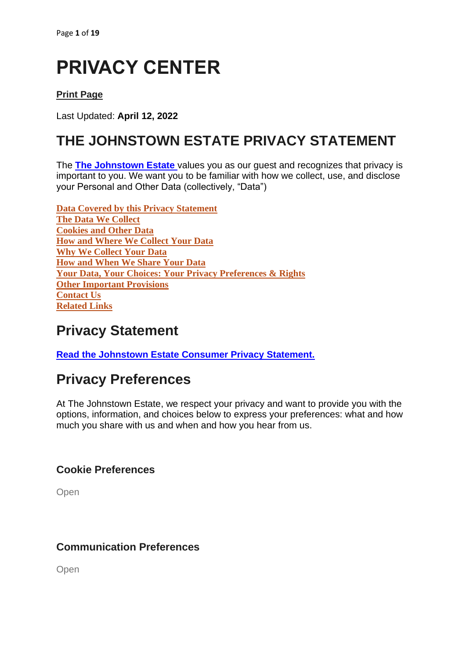# **PRIVACY CENTER**

### **[Print Page](https://www.marriott.com/about/privacy.mi)**

Last Updated: **April 12, 2022**

## **THE JOHNSTOWN ESTATE PRIVACY STATEMENT**

The **[The Johnstown Estate](https://thejohnstownestate.com/)** values you as our guest and recognizes that privacy is important to you. We want you to be familiar with how we collect, use, and disclose your Personal and Other Data (collectively, "Data")

**Data Covered by this Privacy Statement The Data We Collect Cookies and Other Data How and Where We Collect Your Data Why We Collect Your Data How and When We Share Your Data Your Data, Your Choices: Your Privacy Preferences & Rights Other Important Provisions Contact Us Related Links**

## **Privacy Statement**

**Read the Johnstown Estate [Consumer Privacy Statement.](https://thejohnstownestate.com/policies/)**

## **Privacy Preferences**

At The Johnstown Estate, we respect your privacy and want to provide you with the options, information, and choices below to express your preferences: what and how much you share with us and when and how you hear from us.

### **[Cookie Preferences](https://www.marriott.com/about/privacy.mi)**

[Open](https://www.marriott.com/about/privacy.mi)

### **[Communication Preferences](https://www.marriott.com/about/privacy.mi)**

[Open](https://www.marriott.com/about/privacy.mi)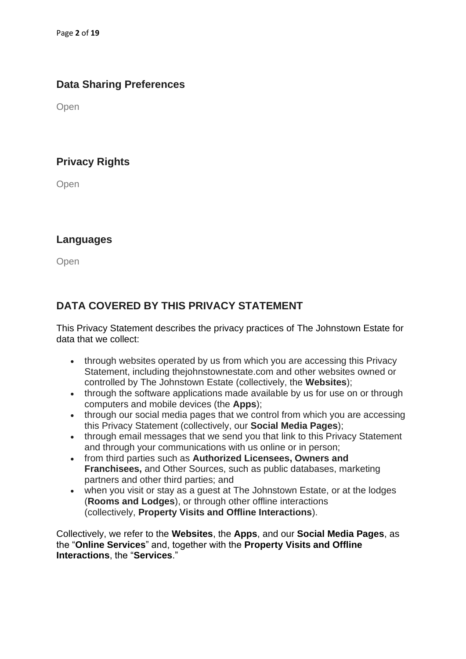### **[Data Sharing Preferences](https://www.marriott.com/about/privacy.mi)**

[Open](https://www.marriott.com/about/privacy.mi)

### **[Privacy Rights](https://www.marriott.com/about/privacy.mi)**

**[Open](https://www.marriott.com/about/privacy.mi)** 

### **[Languages](https://www.marriott.com/about/privacy.mi)**

**[Open](https://www.marriott.com/about/privacy.mi)** 

### **DATA COVERED BY THIS PRIVACY STATEMENT**

This Privacy Statement describes the privacy practices of The Johnstown Estate for data that we collect:

- through websites operated by us from which you are accessing this Privacy Statement, including thejohnstownestate.com and other websites owned or controlled by The Johnstown Estate (collectively, the **Websites**);
- through the software applications made available by us for use on or through computers and mobile devices (the **Apps**);
- through our social media pages that we control from which you are accessing this Privacy Statement (collectively, our **Social Media Pages**);
- through email messages that we send you that link to this Privacy Statement and through your communications with us online or in person;
- from third parties such as **Authorized Licensees, Owners and Franchisees,** and Other Sources, such as public databases, marketing partners and other third parties; and
- when you visit or stay as a quest at The Johnstown Estate, or at the lodges (**Rooms and Lodges**), or through other offline interactions (collectively, **Property Visits and Offline Interactions**).

Collectively, we refer to the **Websites**, the **Apps**, and our **Social Media Pages**, as the "**Online Services**" and, together with the **Property Visits and Offline Interactions**, the "**Services**."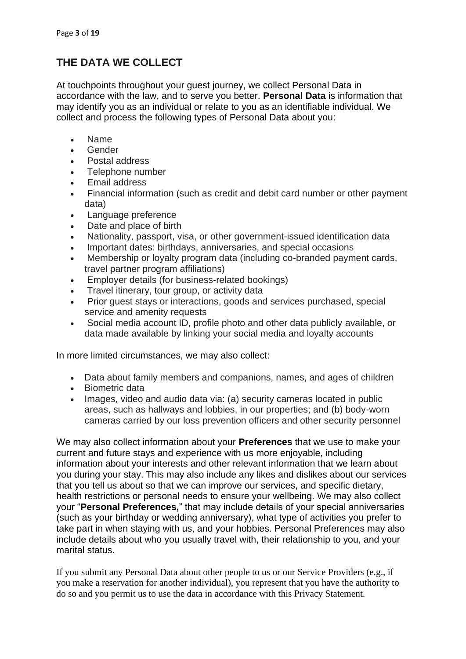### **THE DATA WE COLLECT**

At touchpoints throughout your guest journey, we collect Personal Data in accordance with the law, and to serve you better. **Personal Data** is information that may identify you as an individual or relate to you as an identifiable individual. We collect and process the following types of Personal Data about you:

- Name
- Gender
- Postal address
- Telephone number
- Email address
- Financial information (such as credit and debit card number or other payment data)
- Language preference
- Date and place of birth
- Nationality, passport, visa, or other government-issued identification data
- Important dates: birthdays, anniversaries, and special occasions
- Membership or loyalty program data (including co-branded payment cards, travel partner program affiliations)
- Employer details (for business-related bookings)
- Travel itinerary, tour group, or activity data
- Prior guest stays or interactions, goods and services purchased, special service and amenity requests
- Social media account ID, profile photo and other data publicly available, or data made available by linking your social media and loyalty accounts

In more limited circumstances, we may also collect:

- Data about family members and companions, names, and ages of children
- Biometric data
- Images, video and audio data via: (a) security cameras located in public areas, such as hallways and lobbies, in our properties; and (b) body-worn cameras carried by our loss prevention officers and other security personnel

We may also collect information about your **Preferences** that we use to make your current and future stays and experience with us more enjoyable, including information about your interests and other relevant information that we learn about you during your stay. This may also include any likes and dislikes about our services that you tell us about so that we can improve our services, and specific dietary, health restrictions or personal needs to ensure your wellbeing. We may also collect your "**Personal Preferences,**" that may include details of your special anniversaries (such as your birthday or wedding anniversary), what type of activities you prefer to take part in when staying with us, and your hobbies. Personal Preferences may also include details about who you usually travel with, their relationship to you, and your marital status.

If you submit any Personal Data about other people to us or our Service Providers (e.g., if you make a reservation for another individual), you represent that you have the authority to do so and you permit us to use the data in accordance with this Privacy Statement.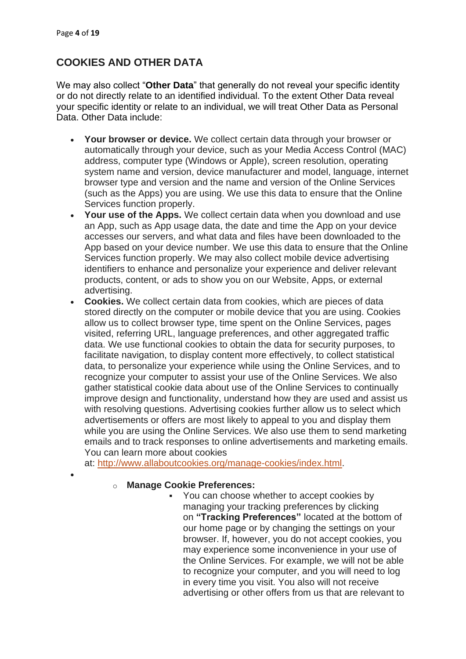•

### **COOKIES AND OTHER DATA**

We may also collect "**Other Data**" that generally do not reveal your specific identity or do not directly relate to an identified individual. To the extent Other Data reveal your specific identity or relate to an individual, we will treat Other Data as Personal Data. Other Data include:

- **Your browser or device.** We collect certain data through your browser or automatically through your device, such as your Media Access Control (MAC) address, computer type (Windows or Apple), screen resolution, operating system name and version, device manufacturer and model, language, internet browser type and version and the name and version of the Online Services (such as the Apps) you are using. We use this data to ensure that the Online Services function properly.
- **Your use of the Apps.** We collect certain data when you download and use an App, such as App usage data, the date and time the App on your device accesses our servers, and what data and files have been downloaded to the App based on your device number. We use this data to ensure that the Online Services function properly. We may also collect mobile device advertising identifiers to enhance and personalize your experience and deliver relevant products, content, or ads to show you on our Website, Apps, or external advertising.
- **Cookies.** We collect certain data from cookies, which are pieces of data stored directly on the computer or mobile device that you are using. Cookies allow us to collect browser type, time spent on the Online Services, pages visited, referring URL, language preferences, and other aggregated traffic data. We use functional cookies to obtain the data for security purposes, to facilitate navigation, to display content more effectively, to collect statistical data, to personalize your experience while using the Online Services, and to recognize your computer to assist your use of the Online Services. We also gather statistical cookie data about use of the Online Services to continually improve design and functionality, understand how they are used and assist us with resolving questions. Advertising cookies further allow us to select which advertisements or offers are most likely to appeal to you and display them while you are using the Online Services. We also use them to send marketing emails and to track responses to online advertisements and marketing emails. You can learn more about cookies

at: [http://www.allaboutcookies.org/manage-cookies/index.html.](http://www.allaboutcookies.org/manage-cookies/index.html)

#### o **Manage Cookie Preferences:**

▪ You can choose whether to accept cookies by managing your tracking preferences by clicking on **"Tracking Preferences"** located at the bottom of our home page or by changing the settings on your browser. If, however, you do not accept cookies, you may experience some inconvenience in your use of the Online Services. For example, we will not be able to recognize your computer, and you will need to log in every time you visit. You also will not receive advertising or other offers from us that are relevant to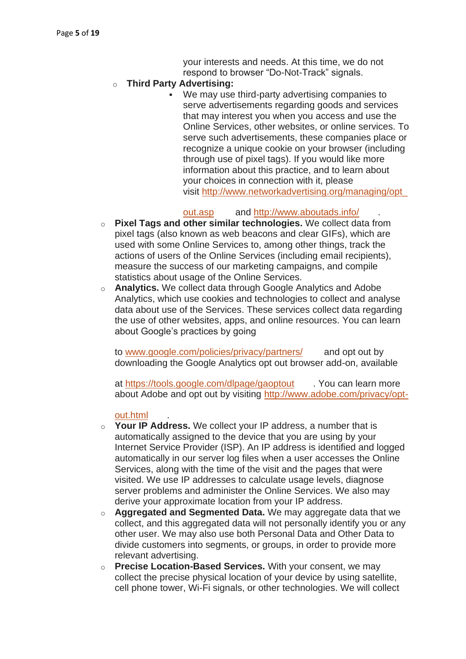your interests and needs. At this time, we do not respond to browser "Do-Not-Track" signals.

#### o **Third Party Advertising:**

We may use third-party advertising companies to serve advertisements regarding goods and services that may interest you when you access and use the Online Services, other websites, or online services. To serve such advertisements, these companies place or recognize a unique cookie on your browser (including through use of pixel tags). If you would like more information about this practice, and to learn about your choices in connection with it, please visit [http://www.networkadvertising.org/managing/opt\\_](http://www.networkadvertising.org/managing/opt_out.asp)

#### [out.asp](http://www.networkadvertising.org/managing/opt_out.asp) and <http://www.aboutads.info/> .

- o **Pixel Tags and other similar technologies.** We collect data from pixel tags (also known as web beacons and clear GIFs), which are used with some Online Services to, among other things, track the actions of users of the Online Services (including email recipients), measure the success of our marketing campaigns, and compile statistics about usage of the Online Services.
- o **Analytics.** We collect data through Google Analytics and Adobe Analytics, which use cookies and technologies to collect and analyse data about use of the Services. These services collect data regarding the use of other websites, apps, and online resources. You can learn about Google's practices by going

to [www.google.com/policies/privacy/partners/](http://www.google.com/policies/privacy/partners/) and opt out by downloading the Google Analytics opt out browser add-on, available

at <https://tools.google.com/dlpage/gaoptout> . You can learn more about Adobe and opt out by visiting [http://www.adobe.com/privacy/opt-](http://www.adobe.com/privacy/opt-out.html)

#### [out.html](http://www.adobe.com/privacy/opt-out.html) .

- o **Your IP Address.** We collect your IP address, a number that is automatically assigned to the device that you are using by your Internet Service Provider (ISP). An IP address is identified and logged automatically in our server log files when a user accesses the Online Services, along with the time of the visit and the pages that were visited. We use IP addresses to calculate usage levels, diagnose server problems and administer the Online Services. We also may derive your approximate location from your IP address.
- o **Aggregated and Segmented Data.** We may aggregate data that we collect, and this aggregated data will not personally identify you or any other user. We may also use both Personal Data and Other Data to divide customers into segments, or groups, in order to provide more relevant advertising.
- o **Precise Location-Based Services.** With your consent, we may collect the precise physical location of your device by using satellite, cell phone tower, Wi-Fi signals, or other technologies. We will collect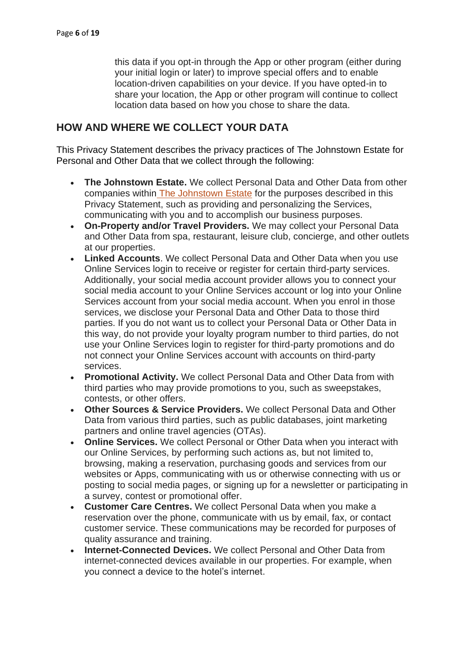this data if you opt-in through the App or other program (either during your initial login or later) to improve special offers and to enable location-driven capabilities on your device. If you have opted-in to share your location, the App or other program will continue to collect location data based on how you chose to share the data.

### **HOW AND WHERE WE COLLECT YOUR DATA**

This Privacy Statement describes the privacy practices of The Johnstown Estate for Personal and Other Data that we collect through the following:

- **The Johnstown Estate.** We collect Personal Data and Other Data from other companies within The Johnstown Estate for the purposes described in this Privacy Statement, such as providing and personalizing the Services, communicating with you and to accomplish our business purposes.
- **On-Property and/or Travel Providers.** We may collect your Personal Data and Other Data from spa, restaurant, leisure club, concierge, and other outlets at our properties.
- **Linked Accounts**. We collect Personal Data and Other Data when you use Online Services login to receive or register for certain third-party services. Additionally, your social media account provider allows you to connect your social media account to your Online Services account or log into your Online Services account from your social media account. When you enrol in those services, we disclose your Personal Data and Other Data to those third parties. If you do not want us to collect your Personal Data or Other Data in this way, do not provide your loyalty program number to third parties, do not use your Online Services login to register for third-party promotions and do not connect your Online Services account with accounts on third-party services.
- **Promotional Activity.** We collect Personal Data and Other Data from with third parties who may provide promotions to you, such as sweepstakes, contests, or other offers.
- **Other Sources & Service Providers.** We collect Personal Data and Other Data from various third parties, such as public databases, joint marketing partners and online travel agencies (OTAs).
- **Online Services.** We collect Personal or Other Data when you interact with our Online Services, by performing such actions as, but not limited to, browsing, making a reservation, purchasing goods and services from our websites or Apps, communicating with us or otherwise connecting with us or posting to social media pages, or signing up for a newsletter or participating in a survey, contest or promotional offer.
- **Customer Care Centres.** We collect Personal Data when you make a reservation over the phone, communicate with us by email, fax, or contact customer service. These communications may be recorded for purposes of quality assurance and training.
- **Internet-Connected Devices.** We collect Personal and Other Data from internet-connected devices available in our properties. For example, when you connect a device to the hotel's internet.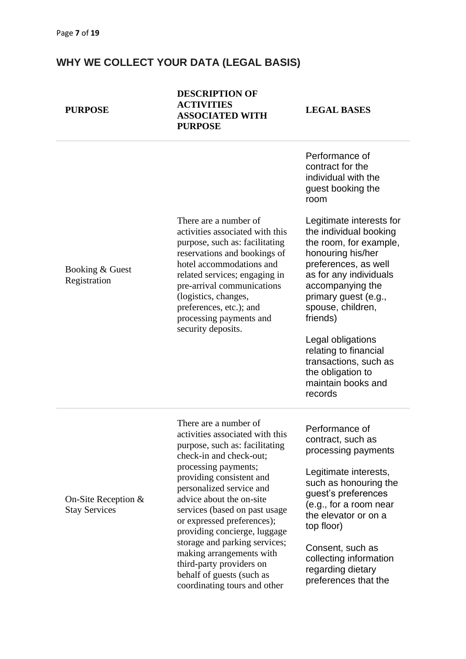#### **WHY WE COLLECT YOUR DATA (LEGAL BASIS)**

#### **PURPOSE**

**DESCRIPTION OF ACTIVITIES ASSOCIATED WITH PURPOSE**

**LEGAL BASES**

Performance of

Booking & Guest Registration There are a number of activities associated with this purpose, such as: facilitating reservations and bookings of hotel accommodations and related services; engaging in pre-arrival communications (logistics, changes, preferences, etc.); and processing payments and security deposits. contract for the individual with the guest booking the room Legitimate interests for the individual booking the room, for example, honouring his/her preferences, as well as for any individuals accompanying the primary guest (e.g., spouse, children, friends) Legal obligations relating to financial transactions, such as the obligation to maintain books and records On-Site Reception & Stay Services There are a number of activities associated with this purpose, such as: facilitating check-in and check-out; processing payments; providing consistent and personalized service and advice about the on-site services (based on past usage or expressed preferences); providing concierge, luggage storage and parking services; making arrangements with third-party providers on behalf of guests (such as Performance of contract, such as processing payments Legitimate interests, such as honouring the guest's preferences (e.g., for a room near the elevator or on a top floor) Consent, such as collecting information regarding dietary preferences that the

coordinating tours and other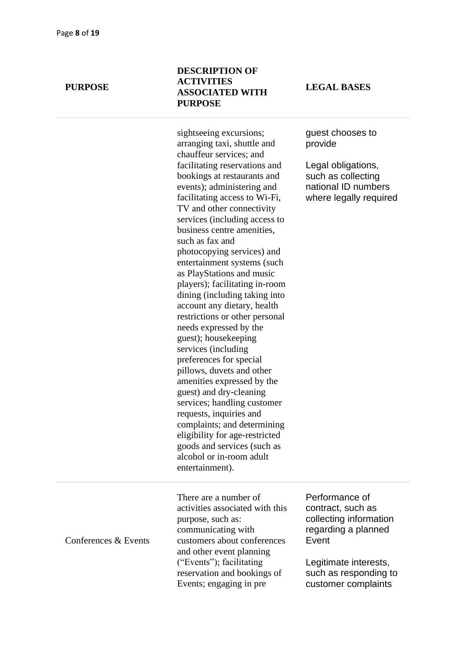#### **DESCRIPTION OF ACTIVITIES ASSOCIATED WITH PURPOSE**

sightseeing excursions; arranging taxi, shuttle and chauffeur services; and facilitating reservations and bookings at restaurants and events); administering and facilitating access to Wi-Fi, TV and other connectivity services (including access to business centre amenities, such as fax and photocopying services) and entertainment systems (such as PlayStations and music players); facilitating in-room dining (including taking into account any dietary, health restrictions or other personal needs expressed by the guest); housekeeping services (including preferences for special pillows, duvets and other amenities expressed by the guest) and dry-cleaning services; handling customer requests, inquiries and complaints; and determining eligibility for age-restricted goods and services (such as alcohol or in-room adult entertainment).

**LEGAL BASES**

guest chooses to provide

Legal obligations, such as collecting national ID numbers where legally required

Conferences & Events

There are a number of activities associated with this purpose, such as: communicating with customers about conferences and other event planning ("Events"); facilitating reservation and bookings of Events; engaging in pre

Performance of contract, such as collecting information regarding a planned Event

Legitimate interests, such as responding to customer complaints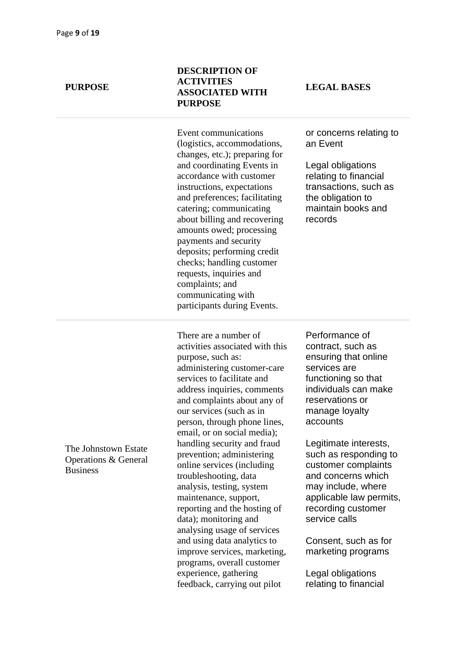#### **DESCRIPTION OF ACTIVITIES ASSOCIATED WITH PURPOSE**

Event communications (logistics, accommodations, changes, etc.); preparing for and coordinating Events in accordance with customer instructions, expectations and preferences; facilitating catering; communicating about billing and recovering amounts owed; processing payments and security deposits; performing credit checks; handling customer requests, inquiries and complaints; and communicating with participants during Events.

#### There are a number of activities associated with this purpose, such as: administering customer-care services to facilitate and address inquiries, comments and complaints about any of our services (such as in person, through phone lines, email, or on social media); handling security and fraud prevention; administering online services (including troubleshooting, data analysis, testing, system maintenance, support, reporting and the hosting of data); monitoring and analysing usage of services and using data analytics to improve services, marketing, programs, overall customer experience, gathering feedback, carrying out pilot

#### **LEGAL BASES**

or concerns relating to an Event

Legal obligations relating to financial transactions, such as the obligation to maintain books and records

Performance of contract, such as ensuring that online services are functioning so that individuals can make reservations or manage loyalty accounts

Legitimate interests, such as responding to customer complaints and concerns which may include, where applicable law permits, recording customer service calls

Consent, such as for marketing programs

Legal obligations relating to financial

#### The Johnstown Estate Operations & General Business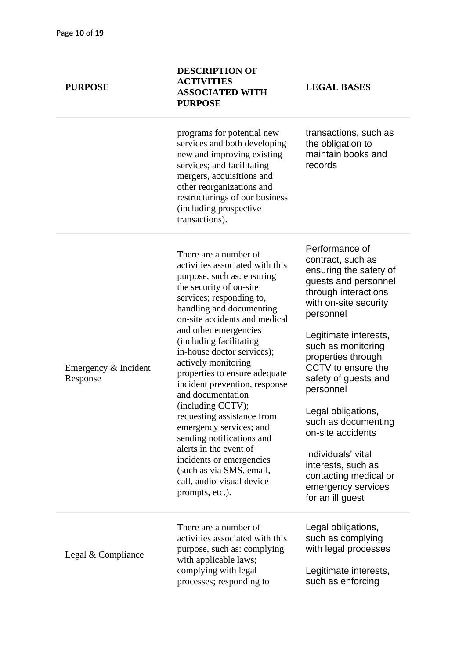| <b>PURPOSE</b> | AUTIVITIES<br><b>ASSOCIATED WITH</b><br><b>PURPOSE</b>                                                                                                                                                                                                         |  |
|----------------|----------------------------------------------------------------------------------------------------------------------------------------------------------------------------------------------------------------------------------------------------------------|--|
|                | programs for potential new<br>services and both developing<br>new and improving existing<br>services; and facilitating<br>mergers, acquisitions and<br>other reorganizations and<br>restructurings of our business<br>(including prospective<br>transactions). |  |
|                |                                                                                                                                                                                                                                                                |  |

**DESCRIPTION OF ACTIVITIES** 

**LEGAL BASES**

transactions, such as the obligation to maintain books and records

Emergency & Incident

#### Response

purpose, such as: ensuring the security of on-site services; responding to, handling and documenting on-site accidents and medical and other emergencies (including facilitating in-house doctor services); actively monitoring properties to ensure adequate incident prevention, response and documentation (including CCTV); requesting assistance from emergency services; and sending notifications and alerts in the event of incidents or emergencies (such as via SMS, email, call, audio-visual device prompts, etc.).

There are a number of

activities associated with this

Performance of contract, such as ensuring the safety of guests and personnel through interactions with on-site security personnel

Legitimate interests, such as monitoring properties through CCTV to ensure the safety of guests and personnel

Legal obligations, such as documenting on-site accidents

Individuals' vital interests, such as contacting medical or emergency services for an ill guest

Legal & Compliance There are a number of activities associated with this purpose, such as: complying with applicable laws; complying with legal processes; responding to Legal obligations, such as complying with legal processes Legitimate interests, such as enforcing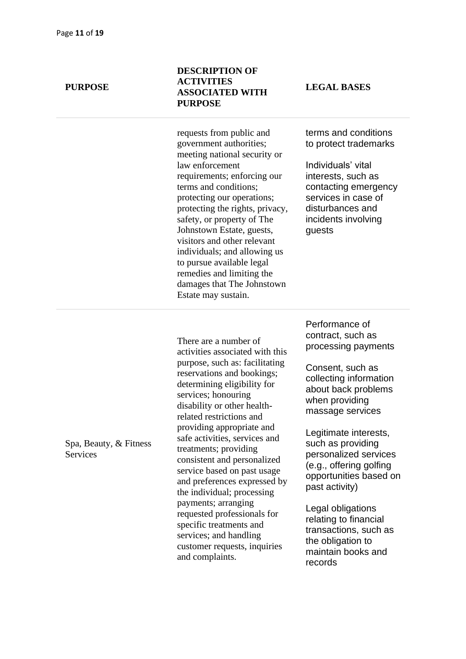#### **DESCRIPTION OF ACTIVITIES ASSOCIATED WITH PURPOSE**

requests from public and government authorities; meeting national security or law enforcement requirements; enforcing our terms and conditions; protecting our operations; protecting the rights, privacy, safety, or property of The Johnstown Estate, guests, visitors and other relevant individuals; and allowing us to pursue available legal remedies and limiting the damages that The Johnstown Estate may sustain.

#### **LEGAL BASES**

terms and conditions to protect trademarks

Individuals' vital interests, such as contacting emergency services in case of disturbances and incidents involving guests

Spa, Beauty, & Fitness **Services** 

There are a number of activities associated with this purpose, such as: facilitating reservations and bookings; determining eligibility for services; honouring disability or other healthrelated restrictions and providing appropriate and safe activities, services and treatments; providing consistent and personalized service based on past usage and preferences expressed by the individual; processing payments; arranging requested professionals for specific treatments and services; and handling customer requests, inquiries and complaints.

Performance of contract, such as processing payments

Consent, such as collecting information about back problems when providing massage services

Legitimate interests, such as providing personalized services (e.g., offering golfing opportunities based on past activity)

Legal obligations relating to financial transactions, such as the obligation to maintain books and records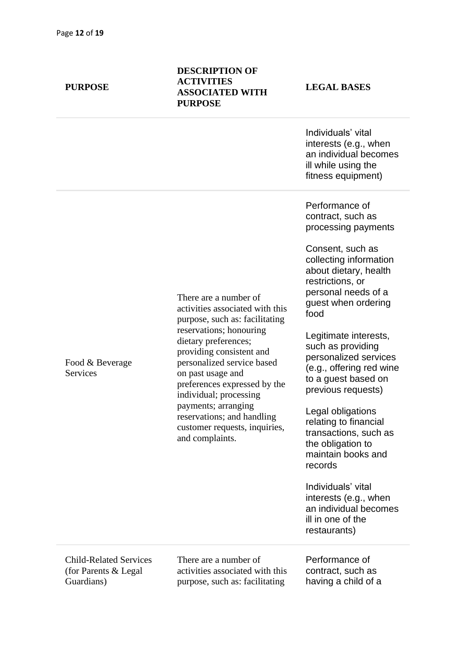#### **DESCRIPTION OF ACTIVITIES ASSOCIATED WITH PURPOSE**

There are a number of

on past usage and

and complaints.

individual; processing payments; arranging reservations; and handling customer requests, inquiries,

activities associated with this purpose, such as: facilitating reservations; honouring dietary preferences; providing consistent and personalized service based

preferences expressed by the

Individuals' vital interests (e.g., when an individual becomes ill while using the fitness equipment)

Performance of contract, such as processing payments

Consent, such as collecting information about dietary, health restrictions, or personal needs of a guest when ordering food

Legitimate interests, such as providing personalized services (e.g., offering red wine to a guest based on previous requests)

Legal obligations relating to financial transactions, such as the obligation to maintain books and records

Individuals' vital interests (e.g., when an individual becomes ill in one of the restaurants)

Child-Related Services (for Parents & Legal Guardians)

Food & Beverage

**Services** 

There are a number of activities associated with this purpose, such as: facilitating

Performance of contract, such as having a child of a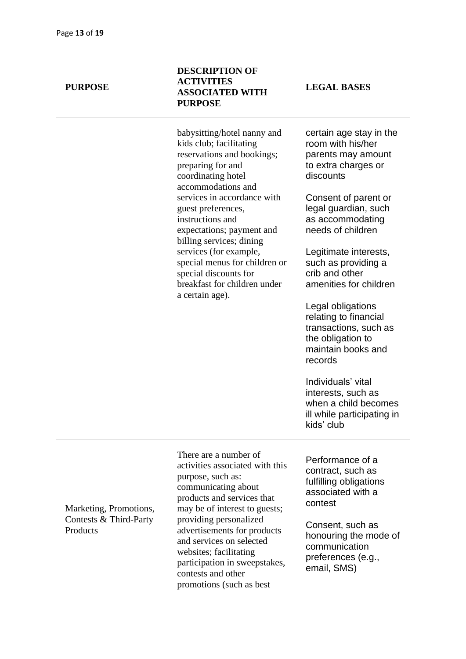#### **DESCRIPTION OF ACTIVITIES ASSOCIATED WITH PURPOSE**

**LEGAL BASES**

babysitting/hotel nanny and kids club; facilitating reservations and bookings; preparing for and coordinating hotel accommodations and services in accordance with guest preferences, instructions and expectations; payment and billing services; dining services (for example, special menus for children or special discounts for breakfast for children under a certain age).

certain age stay in the room with his/her parents may amount to extra charges or discounts

Consent of parent or legal guardian, such as accommodating needs of children

Legitimate interests, such as providing a crib and other amenities for children

Legal obligations relating to financial transactions, such as the obligation to maintain books and records

Individuals' vital interests, such as when a child becomes ill while participating in kids' club

Marketing, Promotions, Contests & Third-Party **Products** 

There are a number of activities associated with this purpose, such as: communicating about products and services that may be of interest to guests; providing personalized advertisements for products and services on selected websites; facilitating participation in sweepstakes, contests and other promotions (such as best

Performance of a contract, such as fulfilling obligations associated with a contest

Consent, such as honouring the mode of communication preferences (e.g., email, SMS)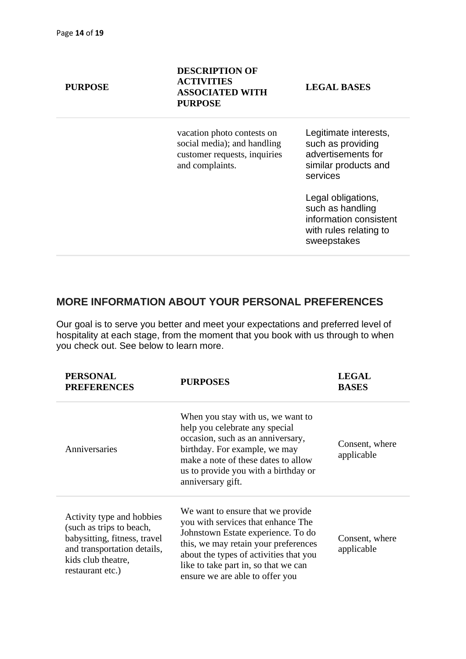| <b>PURPOSE</b> | <b>DESCRIPTION OF</b><br><b>ACTIVITIES</b><br><b>ASSOCIATED WITH</b><br><b>PURPOSE</b>                       | <b>LEGAL BASES</b>                                                                                        |
|----------------|--------------------------------------------------------------------------------------------------------------|-----------------------------------------------------------------------------------------------------------|
|                | vacation photo contests on<br>social media); and handling<br>customer requests, inquiries<br>and complaints. | Legitimate interests,<br>such as providing<br>advertisements for<br>similar products and<br>services      |
|                |                                                                                                              | Legal obligations,<br>such as handling<br>information consistent<br>with rules relating to<br>sweepstakes |
|                |                                                                                                              |                                                                                                           |

### **MORE INFORMATION ABOUT YOUR PERSONAL PREFERENCES**

Our goal is to serve you better and meet your expectations and preferred level of hospitality at each stage, from the moment that you book with us through to when you check out. See below to learn more.

| <b>PERSONAL</b><br><b>PREFERENCES</b>                                                                                                                          | <b>PURPOSES</b>                                                                                                                                                                                                                                                             | <b>LEGAL</b><br><b>BASES</b> |
|----------------------------------------------------------------------------------------------------------------------------------------------------------------|-----------------------------------------------------------------------------------------------------------------------------------------------------------------------------------------------------------------------------------------------------------------------------|------------------------------|
| Anniversaries                                                                                                                                                  | When you stay with us, we want to<br>help you celebrate any special<br>occasion, such as an anniversary,<br>birthday. For example, we may<br>make a note of these dates to allow<br>us to provide you with a birthday or<br>anniversary gift.                               | Consent, where<br>applicable |
| Activity type and hobbies<br>(such as trips to beach,<br>babysitting, fitness, travel<br>and transportation details,<br>kids club theatre,<br>restaurant etc.) | We want to ensure that we provide.<br>you with services that enhance The<br>Johnstown Estate experience. To do<br>this, we may retain your preferences<br>about the types of activities that you<br>like to take part in, so that we can<br>ensure we are able to offer you | Consent, where<br>applicable |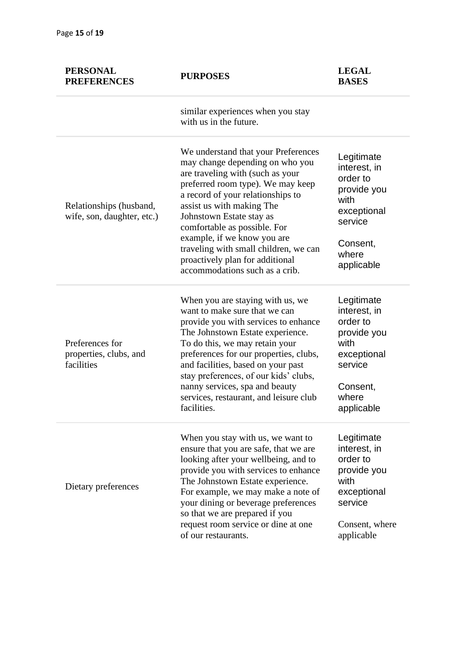| <b>PERSONAL</b><br><b>PREFERENCES</b>                   | <b>PURPOSES</b>                                                                                                                                                                                                                                                                                                                                                                                                            | <b>LEGAL</b><br><b>BASES</b>                                                                                               |
|---------------------------------------------------------|----------------------------------------------------------------------------------------------------------------------------------------------------------------------------------------------------------------------------------------------------------------------------------------------------------------------------------------------------------------------------------------------------------------------------|----------------------------------------------------------------------------------------------------------------------------|
|                                                         | similar experiences when you stay<br>with us in the future.                                                                                                                                                                                                                                                                                                                                                                |                                                                                                                            |
| Relationships (husband,<br>wife, son, daughter, etc.)   | We understand that your Preferences<br>may change depending on who you<br>are traveling with (such as your<br>preferred room type). We may keep<br>a record of your relationships to<br>assist us with making The<br>Johnstown Estate stay as<br>comfortable as possible. For<br>example, if we know you are<br>traveling with small children, we can<br>proactively plan for additional<br>accommodations such as a crib. | Legitimate<br>interest, in<br>order to<br>provide you<br>with<br>exceptional<br>service<br>Consent,<br>where<br>applicable |
| Preferences for<br>properties, clubs, and<br>facilities | When you are staying with us, we<br>want to make sure that we can<br>provide you with services to enhance<br>The Johnstown Estate experience.<br>To do this, we may retain your<br>preferences for our properties, clubs,<br>and facilities, based on your past<br>stay preferences, of our kids' clubs,<br>nanny services, spa and beauty<br>services, restaurant, and leisure club<br>facilities.                        | Legitimate<br>interest, in<br>order to<br>provide you<br>with<br>exceptional<br>service<br>Consent,<br>where<br>applicable |
| Dietary preferences                                     | When you stay with us, we want to<br>ensure that you are safe, that we are<br>looking after your wellbeing, and to<br>provide you with services to enhance<br>The Johnstown Estate experience.<br>For example, we may make a note of<br>your dining or beverage preferences<br>so that we are prepared if you<br>request room service or dine at one<br>of our restaurants.                                                | Legitimate<br>interest, in<br>order to<br>provide you<br>with<br>exceptional<br>service<br>Consent, where<br>applicable    |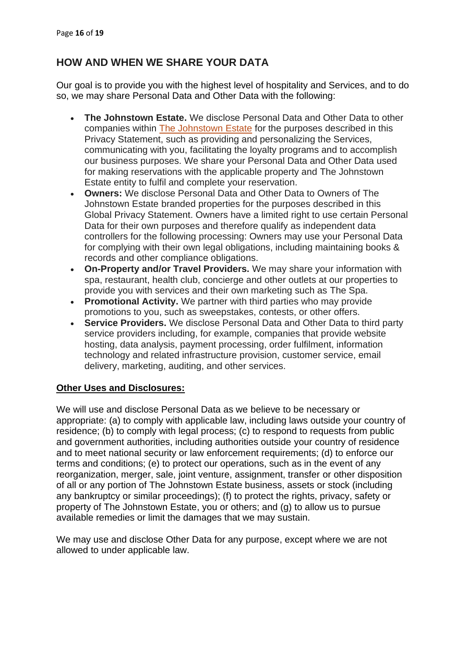### **HOW AND WHEN WE SHARE YOUR DATA**

Our goal is to provide you with the highest level of hospitality and Services, and to do so, we may share Personal Data and Other Data with the following:

- **The Johnstown Estate.** We disclose Personal Data and Other Data to other companies within The Johnstown Estate for the purposes described in this Privacy Statement, such as providing and personalizing the Services, communicating with you, facilitating the loyalty programs and to accomplish our business purposes. We share your Personal Data and Other Data used for making reservations with the applicable property and The Johnstown Estate entity to fulfil and complete your reservation.
- **Owners:** We disclose Personal Data and Other Data to Owners of The Johnstown Estate branded properties for the purposes described in this Global Privacy Statement. Owners have a limited right to use certain Personal Data for their own purposes and therefore qualify as independent data controllers for the following processing: Owners may use your Personal Data for complying with their own legal obligations, including maintaining books & records and other compliance obligations.
- **On-Property and/or Travel Providers.** We may share your information with spa, restaurant, health club, concierge and other outlets at our properties to provide you with services and their own marketing such as The Spa.
- **Promotional Activity.** We partner with third parties who may provide promotions to you, such as sweepstakes, contests, or other offers.
- **Service Providers.** We disclose Personal Data and Other Data to third party service providers including, for example, companies that provide website hosting, data analysis, payment processing, order fulfilment, information technology and related infrastructure provision, customer service, email delivery, marketing, auditing, and other services.

#### **Other Uses and Disclosures:**

We will use and disclose Personal Data as we believe to be necessary or appropriate: (a) to comply with applicable law, including laws outside your country of residence; (b) to comply with legal process; (c) to respond to requests from public and government authorities, including authorities outside your country of residence and to meet national security or law enforcement requirements; (d) to enforce our terms and conditions; (e) to protect our operations, such as in the event of any reorganization, merger, sale, joint venture, assignment, transfer or other disposition of all or any portion of The Johnstown Estate business, assets or stock (including any bankruptcy or similar proceedings); (f) to protect the rights, privacy, safety or property of The Johnstown Estate, you or others; and (g) to allow us to pursue available remedies or limit the damages that we may sustain.

We may use and disclose Other Data for any purpose, except where we are not allowed to under applicable law.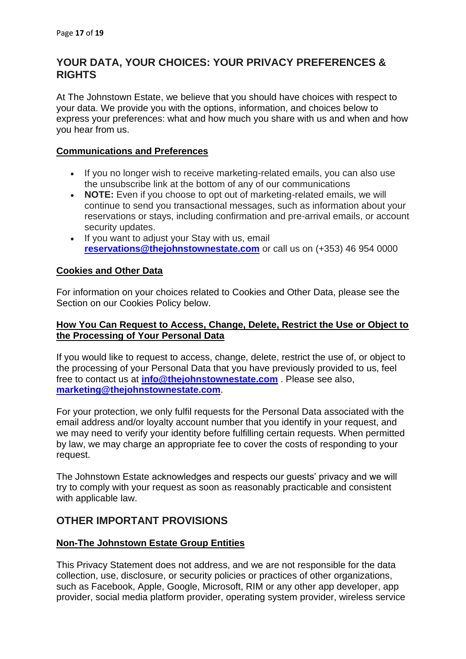### **YOUR DATA, YOUR CHOICES: YOUR PRIVACY PREFERENCES & RIGHTS**

At The Johnstown Estate, we believe that you should have choices with respect to your data. We provide you with the options, information, and choices below to express your preferences: what and how much you share with us and when and how you hear from us.

#### **Communications and Preferences**

- If you no longer wish to receive marketing-related emails, you can also use the unsubscribe link at the bottom of any of our communications
- **NOTE:** Even if you choose to opt out of marketing-related emails, we will continue to send you transactional messages, such as information about your reservations or stays, including confirmation and pre-arrival emails, or account security updates.
- If you want to adjust your Stay with us, email **[reservations@thejohnstownestate.com](mailto:reservations@thejohnstownestate.com)** or call us on (+353) 46 954 0000

#### **Cookies and Other Data**

For information on your choices related to Cookies and Other Data, please see the Section on our Cookies Policy below.

#### **How You Can Request to Access, Change, Delete, Restrict the Use or Object to the Processing of Your Personal Data**

If you would like to request to access, change, delete, restrict the use of, or object to the processing of your Personal Data that you have previously provided to us, feel free to contact us at **[info@thejohnstownestate.com](mailto:info@thejohnstownestate.com)** . Please see also, **[marketing@thejohnstownestate.com](mailto:marketing@thejohnstownestate.com)**.

For your protection, we only fulfil requests for the Personal Data associated with the email address and/or loyalty account number that you identify in your request, and we may need to verify your identity before fulfilling certain requests. When permitted by law, we may charge an appropriate fee to cover the costs of responding to your request.

The Johnstown Estate acknowledges and respects our guests' privacy and we will try to comply with your request as soon as reasonably practicable and consistent with applicable law.

#### **OTHER IMPORTANT PROVISIONS**

#### **Non-The Johnstown Estate Group Entities**

This Privacy Statement does not address, and we are not responsible for the data collection, use, disclosure, or security policies or practices of other organizations, such as Facebook, Apple, Google, Microsoft, RIM or any other app developer, app provider, social media platform provider, operating system provider, wireless service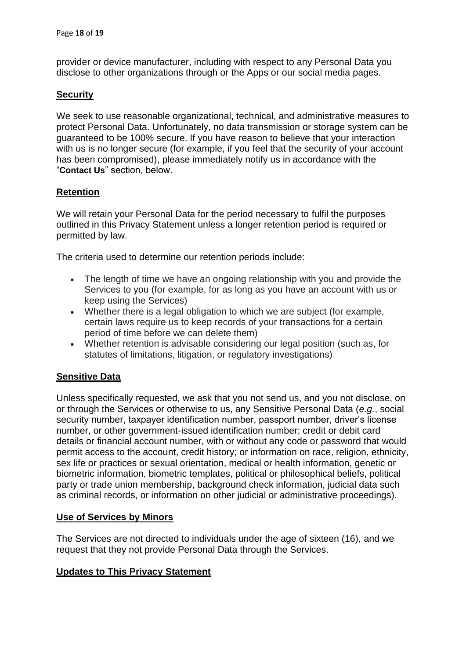provider or device manufacturer, including with respect to any Personal Data you disclose to other organizations through or the Apps or our social media pages.

#### **Security**

We seek to use reasonable organizational, technical, and administrative measures to protect Personal Data. Unfortunately, no data transmission or storage system can be guaranteed to be 100% secure. If you have reason to believe that your interaction with us is no longer secure (for example, if you feel that the security of your account has been compromised), please immediately notify us in accordance with the "**Contact Us**" section, below.

#### **Retention**

We will retain your Personal Data for the period necessary to fulfil the purposes outlined in this Privacy Statement unless a longer retention period is required or permitted by law.

The criteria used to determine our retention periods include:

- The length of time we have an ongoing relationship with you and provide the Services to you (for example, for as long as you have an account with us or keep using the Services)
- Whether there is a legal obligation to which we are subject (for example, certain laws require us to keep records of your transactions for a certain period of time before we can delete them)
- Whether retention is advisable considering our legal position (such as, for statutes of limitations, litigation, or regulatory investigations)

#### **Sensitive Data**

Unless specifically requested, we ask that you not send us, and you not disclose, on or through the Services or otherwise to us, any Sensitive Personal Data (*e.g.*, social security number, taxpayer identification number, passport number, driver's license number, or other government-issued identification number; credit or debit card details or financial account number, with or without any code or password that would permit access to the account, credit history; or information on race, religion, ethnicity, sex life or practices or sexual orientation, medical or health information, genetic or biometric information, biometric templates, political or philosophical beliefs, political party or trade union membership, background check information, judicial data such as criminal records, or information on other judicial or administrative proceedings).

#### **Use of Services by Minors**

The Services are not directed to individuals under the age of sixteen (16), and we request that they not provide Personal Data through the Services.

#### **Updates to This Privacy Statement**